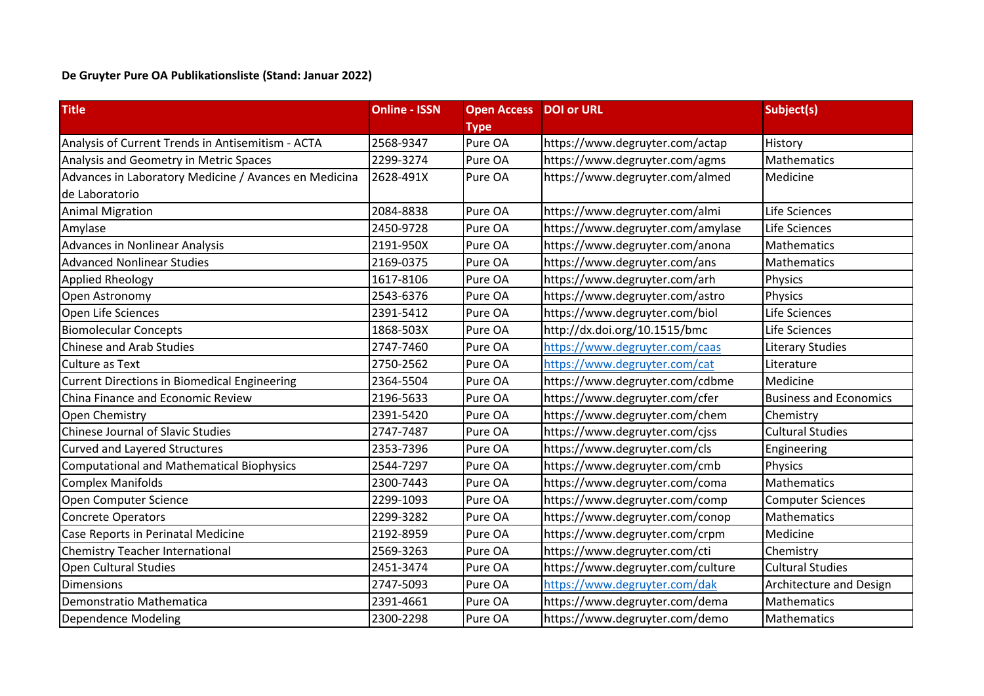## **De Gruyter Pure OA Publikationsliste (Stand: Januar 2022)**

| <b>Title</b>                                          | <b>Online - ISSN</b> | <b>Open Access</b> | <b>DOI or URL</b>                 | Subject(s)                     |
|-------------------------------------------------------|----------------------|--------------------|-----------------------------------|--------------------------------|
|                                                       |                      | <b>Type</b>        |                                   |                                |
| Analysis of Current Trends in Antisemitism - ACTA     | 2568-9347            | Pure OA            | https://www.degruyter.com/actap   | History                        |
| Analysis and Geometry in Metric Spaces                | 2299-3274            | Pure OA            | https://www.degruyter.com/agms    | Mathematics                    |
| Advances in Laboratory Medicine / Avances en Medicina | 2628-491X            | Pure OA            | https://www.degruyter.com/almed   | Medicine                       |
| de Laboratorio                                        |                      |                    |                                   |                                |
| <b>Animal Migration</b>                               | 2084-8838            | Pure OA            | https://www.degruyter.com/almi    | Life Sciences                  |
| Amylase                                               | 2450-9728            | Pure OA            | https://www.degruyter.com/amylase | Life Sciences                  |
| Advances in Nonlinear Analysis                        | 2191-950X            | Pure OA            | https://www.degruyter.com/anona   | <b>Mathematics</b>             |
| <b>Advanced Nonlinear Studies</b>                     | 2169-0375            | Pure OA            | https://www.degruyter.com/ans     | Mathematics                    |
| <b>Applied Rheology</b>                               | 1617-8106            | Pure OA            | https://www.degruyter.com/arh     | Physics                        |
| Open Astronomy                                        | 2543-6376            | Pure OA            | https://www.degruyter.com/astro   | Physics                        |
| Open Life Sciences                                    | 2391-5412            | Pure OA            | https://www.degruyter.com/biol    | Life Sciences                  |
| <b>Biomolecular Concepts</b>                          | 1868-503X            | Pure OA            | http://dx.doi.org/10.1515/bmc     | Life Sciences                  |
| <b>Chinese and Arab Studies</b>                       | 2747-7460            | Pure OA            | https://www.degruyter.com/caas    | <b>Literary Studies</b>        |
| <b>Culture as Text</b>                                | 2750-2562            | Pure OA            | https://www.degruyter.com/cat     | Literature                     |
| <b>Current Directions in Biomedical Engineering</b>   | 2364-5504            | Pure OA            | https://www.degruyter.com/cdbme   | Medicine                       |
| China Finance and Economic Review                     | 2196-5633            | Pure OA            | https://www.degruyter.com/cfer    | <b>Business and Economics</b>  |
| Open Chemistry                                        | 2391-5420            | Pure OA            | https://www.degruyter.com/chem    | Chemistry                      |
| <b>Chinese Journal of Slavic Studies</b>              | 2747-7487            | Pure OA            | https://www.degruyter.com/cjss    | <b>Cultural Studies</b>        |
| <b>Curved and Layered Structures</b>                  | 2353-7396            | Pure OA            | https://www.degruyter.com/cls     | Engineering                    |
| <b>Computational and Mathematical Biophysics</b>      | 2544-7297            | Pure OA            | https://www.degruyter.com/cmb     | Physics                        |
| <b>Complex Manifolds</b>                              | 2300-7443            | Pure OA            | https://www.degruyter.com/coma    | Mathematics                    |
| Open Computer Science                                 | 2299-1093            | Pure OA            | https://www.degruyter.com/comp    | <b>Computer Sciences</b>       |
| <b>Concrete Operators</b>                             | 2299-3282            | Pure OA            | https://www.degruyter.com/conop   | <b>Mathematics</b>             |
| Case Reports in Perinatal Medicine                    | 2192-8959            | Pure OA            | https://www.degruyter.com/crpm    | Medicine                       |
| <b>Chemistry Teacher International</b>                | 2569-3263            | Pure OA            | https://www.degruyter.com/cti     | Chemistry                      |
| Open Cultural Studies                                 | 2451-3474            | Pure OA            | https://www.degruyter.com/culture | <b>Cultural Studies</b>        |
| <b>Dimensions</b>                                     | 2747-5093            | Pure OA            | https://www.degruyter.com/dak     | <b>Architecture and Design</b> |
| Demonstratio Mathematica                              | 2391-4661            | Pure OA            | https://www.degruyter.com/dema    | Mathematics                    |
| Dependence Modeling                                   | 2300-2298            | Pure OA            | https://www.degruyter.com/demo    | Mathematics                    |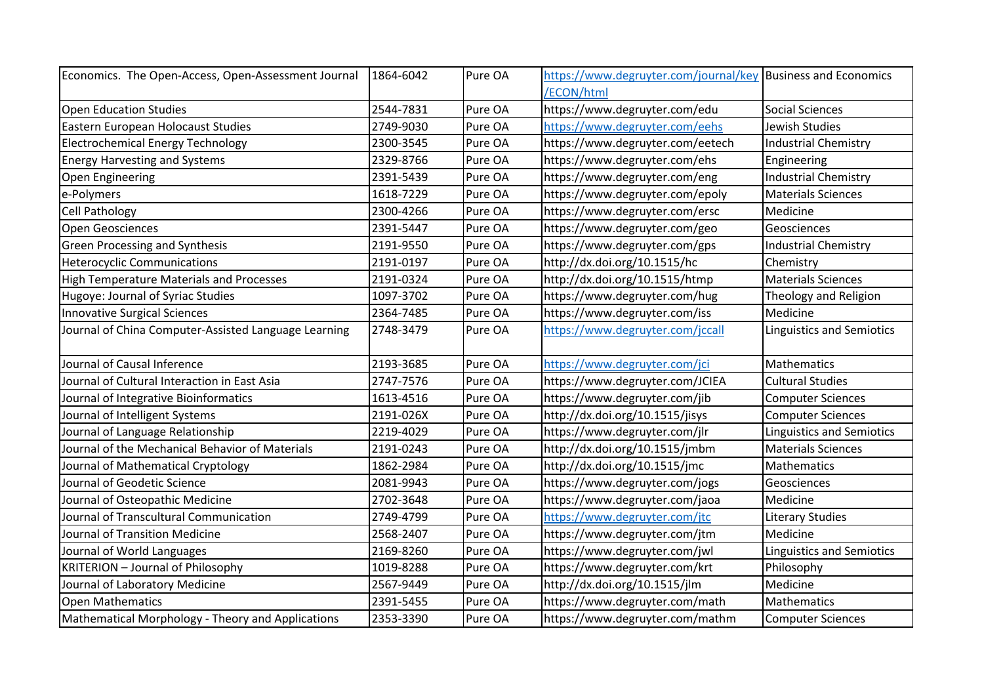| Economics. The Open-Access, Open-Assessment Journal  | 1864-6042 | Pure OA | https://www.degruyter.com/journal/key Business and Economics |                                  |
|------------------------------------------------------|-----------|---------|--------------------------------------------------------------|----------------------------------|
|                                                      |           |         | /ECON/html                                                   |                                  |
| Open Education Studies                               | 2544-7831 | Pure OA | https://www.degruyter.com/edu                                | <b>Social Sciences</b>           |
| Eastern European Holocaust Studies                   | 2749-9030 | Pure OA | https://www.degruyter.com/eehs                               | Jewish Studies                   |
| <b>Electrochemical Energy Technology</b>             | 2300-3545 | Pure OA | https://www.degruyter.com/eetech                             | <b>Industrial Chemistry</b>      |
| <b>Energy Harvesting and Systems</b>                 | 2329-8766 | Pure OA | https://www.degruyter.com/ehs                                | Engineering                      |
| Open Engineering                                     | 2391-5439 | Pure OA | https://www.degruyter.com/eng                                | <b>Industrial Chemistry</b>      |
| e-Polymers                                           | 1618-7229 | Pure OA | https://www.degruyter.com/epoly                              | <b>Materials Sciences</b>        |
| <b>Cell Pathology</b>                                | 2300-4266 | Pure OA | https://www.degruyter.com/ersc                               | Medicine                         |
| Open Geosciences                                     | 2391-5447 | Pure OA | https://www.degruyter.com/geo                                | Geosciences                      |
| <b>Green Processing and Synthesis</b>                | 2191-9550 | Pure OA | https://www.degruyter.com/gps                                | <b>Industrial Chemistry</b>      |
| <b>Heterocyclic Communications</b>                   | 2191-0197 | Pure OA | http://dx.doi.org/10.1515/hc                                 | Chemistry                        |
| <b>High Temperature Materials and Processes</b>      | 2191-0324 | Pure OA | http://dx.doi.org/10.1515/htmp                               | <b>Materials Sciences</b>        |
| Hugoye: Journal of Syriac Studies                    | 1097-3702 | Pure OA | https://www.degruyter.com/hug                                | Theology and Religion            |
| <b>Innovative Surgical Sciences</b>                  | 2364-7485 | Pure OA | https://www.degruyter.com/iss                                | Medicine                         |
| Journal of China Computer-Assisted Language Learning | 2748-3479 | Pure OA | https://www.degruyter.com/jccall                             | <b>Linguistics and Semiotics</b> |
| Journal of Causal Inference                          | 2193-3685 | Pure OA | https://www.degruyter.com/jci                                | <b>Mathematics</b>               |
| Journal of Cultural Interaction in East Asia         | 2747-7576 | Pure OA | https://www.degruyter.com/JCIEA                              | <b>Cultural Studies</b>          |
| Journal of Integrative Bioinformatics                | 1613-4516 | Pure OA | https://www.degruyter.com/jib                                | <b>Computer Sciences</b>         |
| Journal of Intelligent Systems                       | 2191-026X | Pure OA | http://dx.doi.org/10.1515/jisys                              | <b>Computer Sciences</b>         |
| Journal of Language Relationship                     | 2219-4029 | Pure OA | https://www.degruyter.com/jlr                                | <b>Linguistics and Semiotics</b> |
| Journal of the Mechanical Behavior of Materials      | 2191-0243 | Pure OA | http://dx.doi.org/10.1515/jmbm                               | <b>Materials Sciences</b>        |
| Journal of Mathematical Cryptology                   | 1862-2984 | Pure OA | http://dx.doi.org/10.1515/jmc                                | Mathematics                      |
| Journal of Geodetic Science                          | 2081-9943 | Pure OA | https://www.degruyter.com/jogs                               | Geosciences                      |
| Journal of Osteopathic Medicine                      | 2702-3648 | Pure OA | https://www.degruyter.com/jaoa                               | Medicine                         |
| Journal of Transcultural Communication               | 2749-4799 | Pure OA | https://www.degruyter.com/jtc                                | <b>Literary Studies</b>          |
| Journal of Transition Medicine                       | 2568-2407 | Pure OA | https://www.degruyter.com/jtm                                | Medicine                         |
| Journal of World Languages                           | 2169-8260 | Pure OA | https://www.degruyter.com/jwl                                | <b>Linguistics and Semiotics</b> |
| <b>KRITERION - Journal of Philosophy</b>             | 1019-8288 | Pure OA | https://www.degruyter.com/krt                                | Philosophy                       |
| Journal of Laboratory Medicine                       | 2567-9449 | Pure OA | http://dx.doi.org/10.1515/jlm                                | Medicine                         |
| Open Mathematics                                     | 2391-5455 | Pure OA | https://www.degruyter.com/math                               | Mathematics                      |
| Mathematical Morphology - Theory and Applications    | 2353-3390 | Pure OA | https://www.degruyter.com/mathm                              | <b>Computer Sciences</b>         |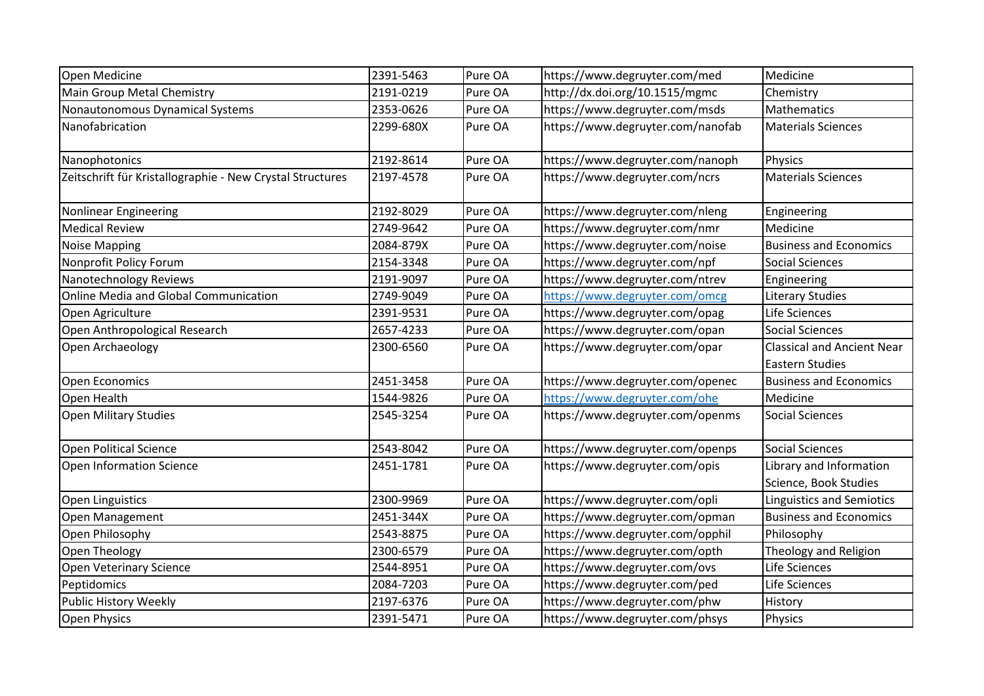| Open Medicine                                             | 2391-5463 | Pure OA | https://www.degruyter.com/med     | Medicine                                                    |
|-----------------------------------------------------------|-----------|---------|-----------------------------------|-------------------------------------------------------------|
| Main Group Metal Chemistry                                | 2191-0219 | Pure OA | http://dx.doi.org/10.1515/mgmc    | Chemistry                                                   |
| Nonautonomous Dynamical Systems                           | 2353-0626 | Pure OA | https://www.degruyter.com/msds    | Mathematics                                                 |
| Nanofabrication                                           | 2299-680X | Pure OA | https://www.degruyter.com/nanofab | <b>Materials Sciences</b>                                   |
| Nanophotonics                                             | 2192-8614 | Pure OA | https://www.degruyter.com/nanoph  | Physics                                                     |
| Zeitschrift für Kristallographie - New Crystal Structures | 2197-4578 | Pure OA | https://www.degruyter.com/ncrs    | <b>Materials Sciences</b>                                   |
| <b>Nonlinear Engineering</b>                              | 2192-8029 | Pure OA | https://www.degruyter.com/nleng   | Engineering                                                 |
| <b>Medical Review</b>                                     | 2749-9642 | Pure OA | https://www.degruyter.com/nmr     | Medicine                                                    |
| Noise Mapping                                             | 2084-879X | Pure OA | https://www.degruyter.com/noise   | <b>Business and Economics</b>                               |
| Nonprofit Policy Forum                                    | 2154-3348 | Pure OA | https://www.degruyter.com/npf     | <b>Social Sciences</b>                                      |
| Nanotechnology Reviews                                    | 2191-9097 | Pure OA | https://www.degruyter.com/ntrev   | Engineering                                                 |
| <b>Online Media and Global Communication</b>              | 2749-9049 | Pure OA | https://www.degruyter.com/omcg    | <b>Literary Studies</b>                                     |
| Open Agriculture                                          | 2391-9531 | Pure OA | https://www.degruyter.com/opag    | Life Sciences                                               |
| Open Anthropological Research                             | 2657-4233 | Pure OA | https://www.degruyter.com/opan    | <b>Social Sciences</b>                                      |
| Open Archaeology                                          | 2300-6560 | Pure OA | https://www.degruyter.com/opar    | <b>Classical and Ancient Near</b><br><b>Eastern Studies</b> |
| Open Economics                                            | 2451-3458 | Pure OA | https://www.degruyter.com/openec  | <b>Business and Economics</b>                               |
| Open Health                                               | 1544-9826 | Pure OA | https://www.degruyter.com/ohe     | Medicine                                                    |
| <b>Open Military Studies</b>                              | 2545-3254 | Pure OA | https://www.degruyter.com/openms  | <b>Social Sciences</b>                                      |
| Open Political Science                                    | 2543-8042 | Pure OA | https://www.degruyter.com/openps  | <b>Social Sciences</b>                                      |
| Open Information Science                                  | 2451-1781 | Pure OA | https://www.degruyter.com/opis    | Library and Information<br>Science, Book Studies            |
| Open Linguistics                                          | 2300-9969 | Pure OA | https://www.degruyter.com/opli    | <b>Linguistics and Semiotics</b>                            |
| Open Management                                           | 2451-344X | Pure OA | https://www.degruyter.com/opman   | <b>Business and Economics</b>                               |
| Open Philosophy                                           | 2543-8875 | Pure OA | https://www.degruyter.com/opphil  | Philosophy                                                  |
| Open Theology                                             | 2300-6579 | Pure OA | https://www.degruyter.com/opth    | Theology and Religion                                       |
| Open Veterinary Science                                   | 2544-8951 | Pure OA | https://www.degruyter.com/ovs     | Life Sciences                                               |
| Peptidomics                                               | 2084-7203 | Pure OA | https://www.degruyter.com/ped     | Life Sciences                                               |
| Public History Weekly                                     | 2197-6376 | Pure OA | https://www.degruyter.com/phw     | History                                                     |
| <b>Open Physics</b>                                       | 2391-5471 | Pure OA | https://www.degruyter.com/phsys   | Physics                                                     |